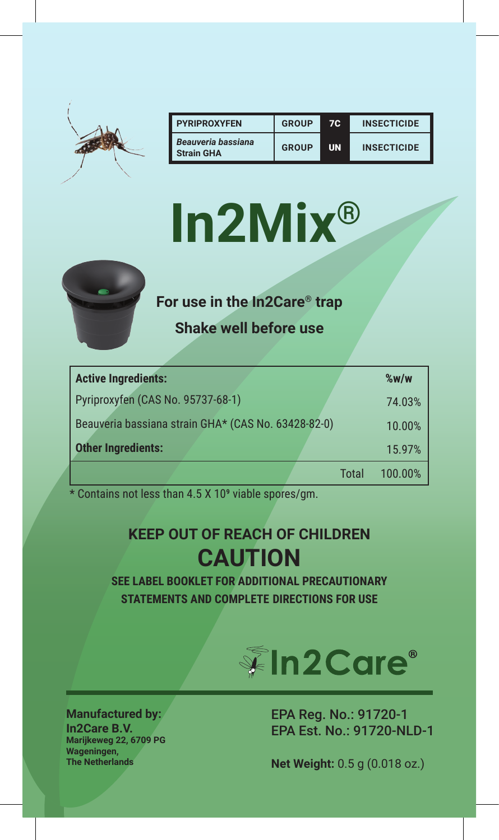

| <b>PYRIPROXYFEN</b>                     | <b>GROUP</b> | 70.       | <b>INSECTICIDE</b> |
|-----------------------------------------|--------------|-----------|--------------------|
| Beauveria bassiana<br><b>Strain GHA</b> | GROUP        | <b>UN</b> | <b>INSECTICIDE</b> |

# **In2Mix®**



**For use in the In2Care® trap**

**Shake well before use**

| <b>Active Ingredients:</b>                          |       | $\%$ w/w |
|-----------------------------------------------------|-------|----------|
| Pyriproxyfen (CAS No. 95737-68-1)                   |       | 74.03%   |
| Beauveria bassiana strain GHA* (CAS No. 63428-82-0) |       | 10.00%   |
| <b>Other Ingredients:</b>                           |       | 15.97%   |
|                                                     | Total | 100.00%  |

\* Contains not less than 4.5 X 109 viable spores/gm.

# **KEEP OUT OF REACH OF CHILDREN CAUTION**

**SEE LABEL BOOKLET FOR ADDITIONAL PRECAUTIONARY STATEMENTS AND COMPLETE DIRECTIONS FOR USE**



**Manufactured by: In2Care B.V. Marijkeweg 22, 6709 PG Wageningen,** 

EPA Reg. No.: 91720-1 EPA Est. No.: 91720-NLD-1

**Net Weight:** 0.5 g (0.018 oz.)